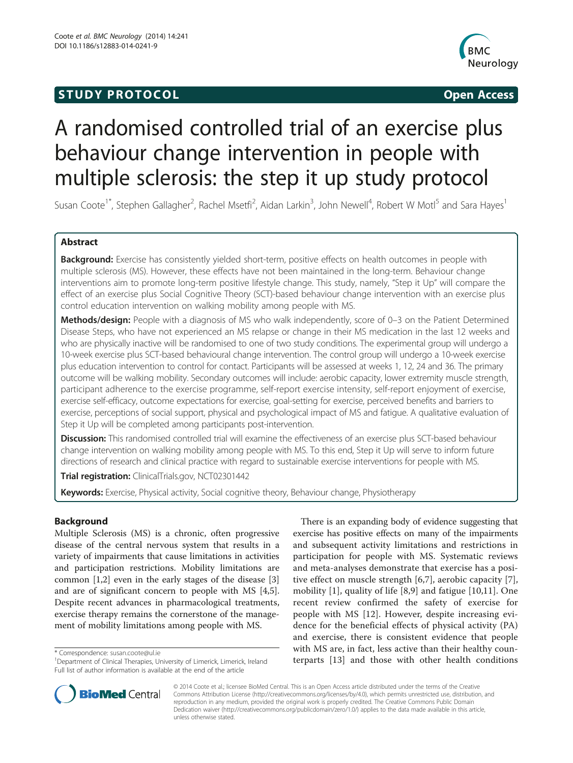# **STUDY PROTOCOL CONSUMING THE STUDY PROTOCOL**



# A randomised controlled trial of an exercise plus behaviour change intervention in people with multiple sclerosis: the step it up study protocol

Susan Coote<sup>1\*</sup>, Stephen Gallagher<sup>2</sup>, Rachel Msetfi<sup>2</sup>, Aidan Larkin<sup>3</sup>, John Newell<sup>4</sup>, Robert W Motl<sup>5</sup> and Sara Hayes<sup>1</sup>

## Abstract

Background: Exercise has consistently yielded short-term, positive effects on health outcomes in people with multiple sclerosis (MS). However, these effects have not been maintained in the long-term. Behaviour change interventions aim to promote long-term positive lifestyle change. This study, namely, "Step it Up" will compare the effect of an exercise plus Social Cognitive Theory (SCT)-based behaviour change intervention with an exercise plus control education intervention on walking mobility among people with MS.

Methods/design: People with a diagnosis of MS who walk independently, score of 0-3 on the Patient Determined Disease Steps, who have not experienced an MS relapse or change in their MS medication in the last 12 weeks and who are physically inactive will be randomised to one of two study conditions. The experimental group will undergo a 10-week exercise plus SCT-based behavioural change intervention. The control group will undergo a 10-week exercise plus education intervention to control for contact. Participants will be assessed at weeks 1, 12, 24 and 36. The primary outcome will be walking mobility. Secondary outcomes will include: aerobic capacity, lower extremity muscle strength, participant adherence to the exercise programme, self-report exercise intensity, self-report enjoyment of exercise, exercise self-efficacy, outcome expectations for exercise, goal-setting for exercise, perceived benefits and barriers to exercise, perceptions of social support, physical and psychological impact of MS and fatigue. A qualitative evaluation of Step it Up will be completed among participants post-intervention.

Discussion: This randomised controlled trial will examine the effectiveness of an exercise plus SCT-based behaviour change intervention on walking mobility among people with MS. To this end, Step it Up will serve to inform future directions of research and clinical practice with regard to sustainable exercise interventions for people with MS.

Trial registration: ClinicalTrials.gov, [NCT02301442](https://clinicaltrials.gov/ct2/show/NCT02301442)

Keywords: Exercise, Physical activity, Social cognitive theory, Behaviour change, Physiotherapy

### **Background**

Multiple Sclerosis (MS) is a chronic, often progressive disease of the central nervous system that results in a variety of impairments that cause limitations in activities and participation restrictions. Mobility limitations are common [[1,2\]](#page-5-0) even in the early stages of the disease [\[3](#page-5-0)] and are of significant concern to people with MS [\[4](#page-5-0)[,5](#page-6-0)]. Despite recent advances in pharmacological treatments, exercise therapy remains the cornerstone of the management of mobility limitations among people with MS.

There is an expanding body of evidence suggesting that exercise has positive effects on many of the impairments and subsequent activity limitations and restrictions in participation for people with MS. Systematic reviews and meta-analyses demonstrate that exercise has a positive effect on muscle strength [\[6](#page-6-0),[7\]](#page-6-0), aerobic capacity [\[7](#page-6-0)], mobility [\[1](#page-5-0)], quality of life [[8,9\]](#page-6-0) and fatigue [\[10](#page-6-0),[11\]](#page-6-0). One recent review confirmed the safety of exercise for people with MS [\[12](#page-6-0)]. However, despite increasing evidence for the beneficial effects of physical activity (PA) and exercise, there is consistent evidence that people with MS are, in fact, less active than their healthy coun-terparts [[13\]](#page-6-0) and those with other health countries active than their health countries \* Correspondence: [susan.coote@ul.ie](mailto:susan.coote@ul.ie)<br>Interparts [13] and those with other health conditions \* 10-partment of Clinical Therapies, Univers



© 2014 Coote et al.; licensee BioMed Central. This is an Open Access article distributed under the terms of the Creative Commons Attribution License [\(http://creativecommons.org/licenses/by/4.0\)](http://creativecommons.org/licenses/by/4.0), which permits unrestricted use, distribution, and reproduction in any medium, provided the original work is properly credited. The Creative Commons Public Domain Dedication waiver [\(http://creativecommons.org/publicdomain/zero/1.0/](http://creativecommons.org/publicdomain/zero/1.0/)) applies to the data made available in this article, unless otherwise stated.

<sup>&</sup>lt;sup>1</sup>Department of Clinical Therapies, University of Limerick, Limerick, Ireland Full list of author information is available at the end of the article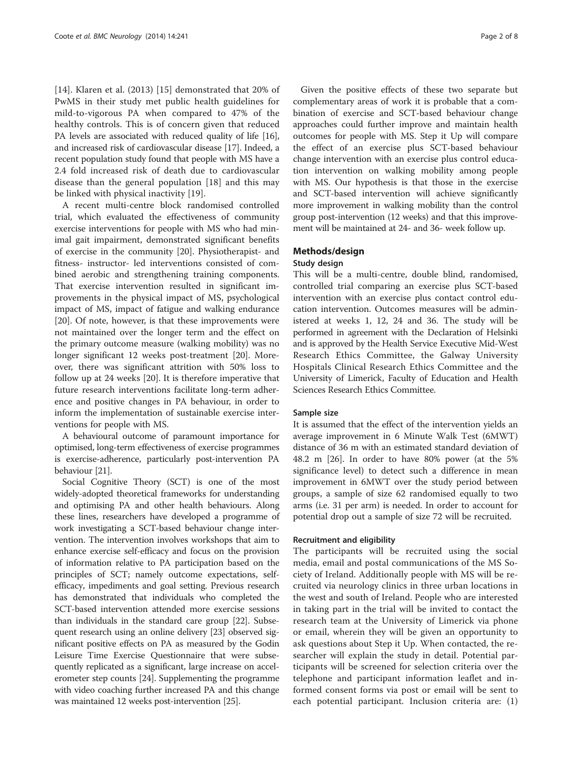[[14\]](#page-6-0). Klaren et al. (2013) [[15\]](#page-6-0) demonstrated that 20% of PwMS in their study met public health guidelines for mild-to-vigorous PA when compared to 47% of the healthy controls. This is of concern given that reduced PA levels are associated with reduced quality of life [[16](#page-6-0)], and increased risk of cardiovascular disease [\[17\]](#page-6-0). Indeed, a recent population study found that people with MS have a 2.4 fold increased risk of death due to cardiovascular disease than the general population [[18](#page-6-0)] and this may be linked with physical inactivity [\[19](#page-6-0)].

A recent multi-centre block randomised controlled trial, which evaluated the effectiveness of community exercise interventions for people with MS who had minimal gait impairment, demonstrated significant benefits of exercise in the community [\[20\]](#page-6-0). Physiotherapist- and fitness- instructor- led interventions consisted of combined aerobic and strengthening training components. That exercise intervention resulted in significant improvements in the physical impact of MS, psychological impact of MS, impact of fatigue and walking endurance [[20\]](#page-6-0). Of note, however, is that these improvements were not maintained over the longer term and the effect on the primary outcome measure (walking mobility) was no longer significant 12 weeks post-treatment [\[20\]](#page-6-0). Moreover, there was significant attrition with 50% loss to follow up at 24 weeks [[20\]](#page-6-0). It is therefore imperative that future research interventions facilitate long-term adherence and positive changes in PA behaviour, in order to inform the implementation of sustainable exercise interventions for people with MS.

A behavioural outcome of paramount importance for optimised, long-term effectiveness of exercise programmes is exercise-adherence, particularly post-intervention PA behaviour [[21](#page-6-0)].

Social Cognitive Theory (SCT) is one of the most widely-adopted theoretical frameworks for understanding and optimising PA and other health behaviours. Along these lines, researchers have developed a programme of work investigating a SCT-based behaviour change intervention. The intervention involves workshops that aim to enhance exercise self-efficacy and focus on the provision of information relative to PA participation based on the principles of SCT; namely outcome expectations, selfefficacy, impediments and goal setting. Previous research has demonstrated that individuals who completed the SCT-based intervention attended more exercise sessions than individuals in the standard care group [\[22](#page-6-0)]. Subsequent research using an online delivery [[23](#page-6-0)] observed significant positive effects on PA as measured by the Godin Leisure Time Exercise Questionnaire that were subsequently replicated as a significant, large increase on accelerometer step counts [[24](#page-6-0)]. Supplementing the programme with video coaching further increased PA and this change was maintained 12 weeks post-intervention [\[25\]](#page-6-0).

Given the positive effects of these two separate but complementary areas of work it is probable that a combination of exercise and SCT-based behaviour change approaches could further improve and maintain health outcomes for people with MS. Step it Up will compare the effect of an exercise plus SCT-based behaviour change intervention with an exercise plus control education intervention on walking mobility among people with MS. Our hypothesis is that those in the exercise and SCT-based intervention will achieve significantly more improvement in walking mobility than the control group post-intervention (12 weeks) and that this improvement will be maintained at 24- and 36- week follow up.

#### Methods/design

#### Study design

This will be a multi-centre, double blind, randomised, controlled trial comparing an exercise plus SCT-based intervention with an exercise plus contact control education intervention. Outcomes measures will be administered at weeks 1, 12, 24 and 36. The study will be performed in agreement with the Declaration of Helsinki and is approved by the Health Service Executive Mid-West Research Ethics Committee, the Galway University Hospitals Clinical Research Ethics Committee and the University of Limerick, Faculty of Education and Health Sciences Research Ethics Committee.

#### Sample size

It is assumed that the effect of the intervention yields an average improvement in 6 Minute Walk Test (6MWT) distance of 36 m with an estimated standard deviation of 48.2 m [\[26\]](#page-6-0). In order to have 80% power (at the 5% significance level) to detect such a difference in mean improvement in 6MWT over the study period between groups, a sample of size 62 randomised equally to two arms (i.e. 31 per arm) is needed. In order to account for potential drop out a sample of size 72 will be recruited.

#### Recruitment and eligibility

The participants will be recruited using the social media, email and postal communications of the MS Society of Ireland. Additionally people with MS will be recruited via neurology clinics in three urban locations in the west and south of Ireland. People who are interested in taking part in the trial will be invited to contact the research team at the University of Limerick via phone or email, wherein they will be given an opportunity to ask questions about Step it Up. When contacted, the researcher will explain the study in detail. Potential participants will be screened for selection criteria over the telephone and participant information leaflet and informed consent forms via post or email will be sent to each potential participant. Inclusion criteria are: (1)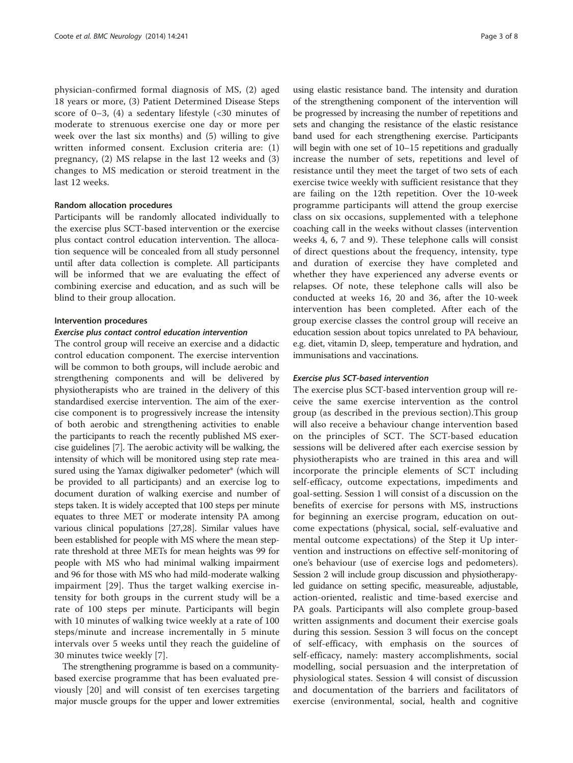physician-confirmed formal diagnosis of MS, (2) aged 18 years or more, (3) Patient Determined Disease Steps score of  $0-3$ ,  $(4)$  a sedentary lifestyle  $\langle 30 \rangle$  minutes of moderate to strenuous exercise one day or more per week over the last six months) and (5) willing to give written informed consent. Exclusion criteria are: (1) pregnancy, (2) MS relapse in the last 12 weeks and (3) changes to MS medication or steroid treatment in the last 12 weeks.

#### Random allocation procedures

Participants will be randomly allocated individually to the exercise plus SCT-based intervention or the exercise plus contact control education intervention. The allocation sequence will be concealed from all study personnel until after data collection is complete. All participants will be informed that we are evaluating the effect of combining exercise and education, and as such will be blind to their group allocation.

#### Intervention procedures

#### Exercise plus contact control education intervention

The control group will receive an exercise and a didactic control education component. The exercise intervention will be common to both groups, will include aerobic and strengthening components and will be delivered by physiotherapists who are trained in the delivery of this standardised exercise intervention. The aim of the exercise component is to progressively increase the intensity of both aerobic and strengthening activities to enable the participants to reach the recently published MS exercise guidelines [[7\]](#page-6-0). The aerobic activity will be walking, the intensity of which will be monitored using step rate measured using the Yamax digiwalker pedometer\* (which will be provided to all participants) and an exercise log to document duration of walking exercise and number of steps taken. It is widely accepted that 100 steps per minute equates to three MET or moderate intensity PA among various clinical populations [\[27,28](#page-6-0)]. Similar values have been established for people with MS where the mean steprate threshold at three METs for mean heights was 99 for people with MS who had minimal walking impairment and 96 for those with MS who had mild-moderate walking impairment [\[29](#page-6-0)]. Thus the target walking exercise intensity for both groups in the current study will be a rate of 100 steps per minute. Participants will begin with 10 minutes of walking twice weekly at a rate of 100 steps/minute and increase incrementally in 5 minute intervals over 5 weeks until they reach the guideline of 30 minutes twice weekly [[7](#page-6-0)].

The strengthening programme is based on a communitybased exercise programme that has been evaluated previously [[20](#page-6-0)] and will consist of ten exercises targeting major muscle groups for the upper and lower extremities

using elastic resistance band. The intensity and duration of the strengthening component of the intervention will be progressed by increasing the number of repetitions and sets and changing the resistance of the elastic resistance band used for each strengthening exercise. Participants will begin with one set of 10–15 repetitions and gradually increase the number of sets, repetitions and level of resistance until they meet the target of two sets of each exercise twice weekly with sufficient resistance that they are failing on the 12th repetition. Over the 10-week programme participants will attend the group exercise class on six occasions, supplemented with a telephone coaching call in the weeks without classes (intervention weeks 4, 6, 7 and 9). These telephone calls will consist of direct questions about the frequency, intensity, type and duration of exercise they have completed and whether they have experienced any adverse events or relapses. Of note, these telephone calls will also be conducted at weeks 16, 20 and 36, after the 10-week intervention has been completed. After each of the group exercise classes the control group will receive an education session about topics unrelated to PA behaviour, e.g. diet, vitamin D, sleep, temperature and hydration, and immunisations and vaccinations.

#### Exercise plus SCT-based intervention

The exercise plus SCT-based intervention group will receive the same exercise intervention as the control group (as described in the previous section).This group will also receive a behaviour change intervention based on the principles of SCT. The SCT-based education sessions will be delivered after each exercise session by physiotherapists who are trained in this area and will incorporate the principle elements of SCT including self-efficacy, outcome expectations, impediments and goal-setting. Session 1 will consist of a discussion on the benefits of exercise for persons with MS, instructions for beginning an exercise program, education on outcome expectations (physical, social, self-evaluative and mental outcome expectations) of the Step it Up intervention and instructions on effective self-monitoring of one's behaviour (use of exercise logs and pedometers). Session 2 will include group discussion and physiotherapyled guidance on setting specific, measureable, adjustable, action-oriented, realistic and time-based exercise and PA goals. Participants will also complete group-based written assignments and document their exercise goals during this session. Session 3 will focus on the concept of self-efficacy, with emphasis on the sources of self-efficacy, namely: mastery accomplishments, social modelling, social persuasion and the interpretation of physiological states. Session 4 will consist of discussion and documentation of the barriers and facilitators of exercise (environmental, social, health and cognitive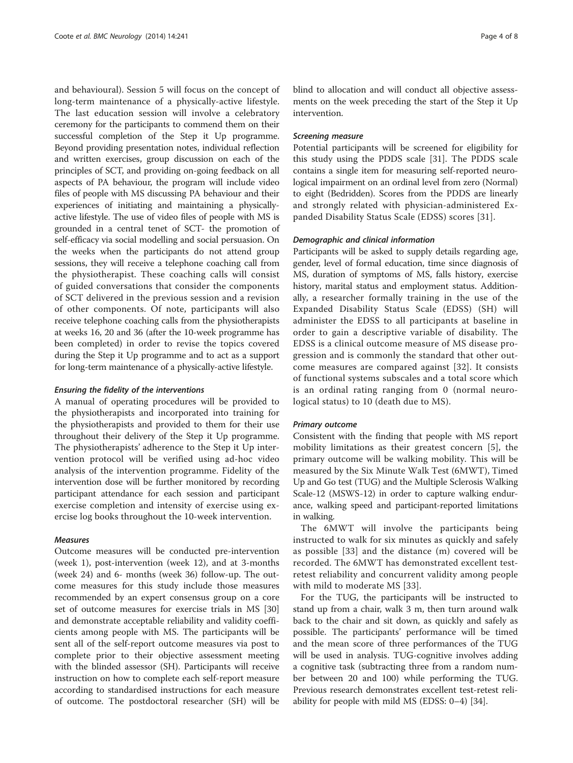and behavioural). Session 5 will focus on the concept of long-term maintenance of a physically-active lifestyle. The last education session will involve a celebratory ceremony for the participants to commend them on their successful completion of the Step it Up programme. Beyond providing presentation notes, individual reflection and written exercises, group discussion on each of the principles of SCT, and providing on-going feedback on all aspects of PA behaviour, the program will include video files of people with MS discussing PA behaviour and their experiences of initiating and maintaining a physicallyactive lifestyle. The use of video files of people with MS is grounded in a central tenet of SCT- the promotion of self-efficacy via social modelling and social persuasion. On the weeks when the participants do not attend group sessions, they will receive a telephone coaching call from the physiotherapist. These coaching calls will consist of guided conversations that consider the components of SCT delivered in the previous session and a revision of other components. Of note, participants will also receive telephone coaching calls from the physiotherapists at weeks 16, 20 and 36 (after the 10-week programme has been completed) in order to revise the topics covered during the Step it Up programme and to act as a support for long-term maintenance of a physically-active lifestyle.

#### Ensuring the fidelity of the interventions

A manual of operating procedures will be provided to the physiotherapists and incorporated into training for the physiotherapists and provided to them for their use throughout their delivery of the Step it Up programme. The physiotherapists' adherence to the Step it Up intervention protocol will be verified using ad-hoc video analysis of the intervention programme. Fidelity of the intervention dose will be further monitored by recording participant attendance for each session and participant exercise completion and intensity of exercise using exercise log books throughout the 10-week intervention.

#### Measures

Outcome measures will be conducted pre-intervention (week 1), post-intervention (week 12), and at 3-months (week 24) and 6- months (week 36) follow-up. The outcome measures for this study include those measures recommended by an expert consensus group on a core set of outcome measures for exercise trials in MS [[30](#page-6-0)] and demonstrate acceptable reliability and validity coefficients among people with MS. The participants will be sent all of the self-report outcome measures via post to complete prior to their objective assessment meeting with the blinded assessor (SH). Participants will receive instruction on how to complete each self-report measure according to standardised instructions for each measure of outcome. The postdoctoral researcher (SH) will be

blind to allocation and will conduct all objective assessments on the week preceding the start of the Step it Up intervention.

#### Screening measure

Potential participants will be screened for eligibility for this study using the PDDS scale [[31\]](#page-6-0). The PDDS scale contains a single item for measuring self-reported neurological impairment on an ordinal level from zero (Normal) to eight (Bedridden). Scores from the PDDS are linearly and strongly related with physician-administered Expanded Disability Status Scale (EDSS) scores [\[31\]](#page-6-0).

#### Demographic and clinical information

Participants will be asked to supply details regarding age, gender, level of formal education, time since diagnosis of MS, duration of symptoms of MS, falls history, exercise history, marital status and employment status. Additionally, a researcher formally training in the use of the Expanded Disability Status Scale (EDSS) (SH) will administer the EDSS to all participants at baseline in order to gain a descriptive variable of disability. The EDSS is a clinical outcome measure of MS disease progression and is commonly the standard that other outcome measures are compared against [[32\]](#page-6-0). It consists of functional systems subscales and a total score which is an ordinal rating ranging from 0 (normal neurological status) to 10 (death due to MS).

#### Primary outcome

Consistent with the finding that people with MS report mobility limitations as their greatest concern [\[5](#page-6-0)], the primary outcome will be walking mobility. This will be measured by the Six Minute Walk Test (6MWT), Timed Up and Go test (TUG) and the Multiple Sclerosis Walking Scale-12 (MSWS-12) in order to capture walking endurance, walking speed and participant-reported limitations in walking.

The 6MWT will involve the participants being instructed to walk for six minutes as quickly and safely as possible [[33](#page-6-0)] and the distance (m) covered will be recorded. The 6MWT has demonstrated excellent testretest reliability and concurrent validity among people with mild to moderate MS [\[33\]](#page-6-0).

For the TUG, the participants will be instructed to stand up from a chair, walk 3 m, then turn around walk back to the chair and sit down, as quickly and safely as possible. The participants' performance will be timed and the mean score of three performances of the TUG will be used in analysis. TUG-cognitive involves adding a cognitive task (subtracting three from a random number between 20 and 100) while performing the TUG. Previous research demonstrates excellent test-retest reliability for people with mild MS (EDSS: 0–4) [\[34\]](#page-6-0).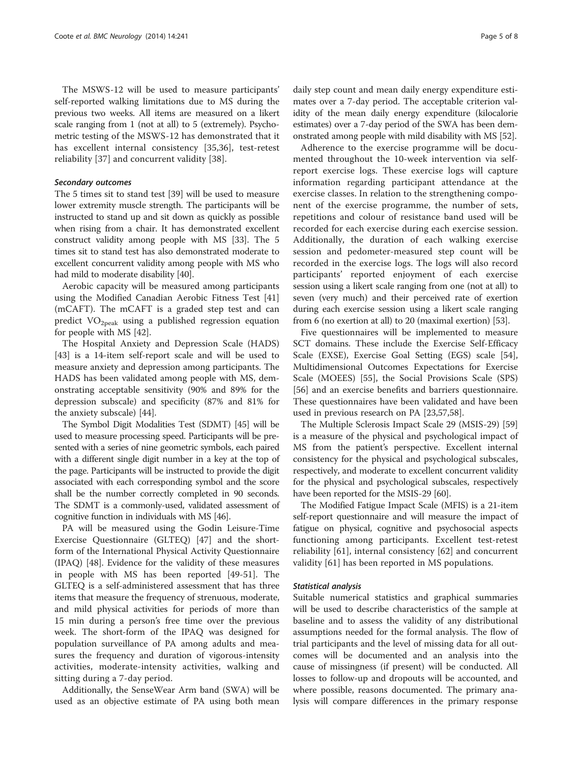The MSWS-12 will be used to measure participants' self-reported walking limitations due to MS during the previous two weeks. All items are measured on a likert scale ranging from 1 (not at all) to 5 (extremely). Psychometric testing of the MSWS-12 has demonstrated that it has excellent internal consistency [\[35](#page-6-0),[36](#page-6-0)], test-retest reliability [[37\]](#page-6-0) and concurrent validity [\[38](#page-6-0)].

#### Secondary outcomes

The 5 times sit to stand test [[39\]](#page-6-0) will be used to measure lower extremity muscle strength. The participants will be instructed to stand up and sit down as quickly as possible when rising from a chair. It has demonstrated excellent construct validity among people with MS [\[33\]](#page-6-0). The 5 times sit to stand test has also demonstrated moderate to excellent concurrent validity among people with MS who had mild to moderate disability [[40](#page-6-0)].

Aerobic capacity will be measured among participants using the Modified Canadian Aerobic Fitness Test [[41](#page-6-0)] (mCAFT). The mCAFT is a graded step test and can predict  $VO<sub>2peak</sub>$  using a published regression equation for people with MS [\[42\]](#page-6-0).

The Hospital Anxiety and Depression Scale (HADS) [[43\]](#page-6-0) is a 14-item self-report scale and will be used to measure anxiety and depression among participants. The HADS has been validated among people with MS, demonstrating acceptable sensitivity (90% and 89% for the depression subscale) and specificity (87% and 81% for the anxiety subscale) [[44](#page-6-0)].

The Symbol Digit Modalities Test (SDMT) [\[45\]](#page-6-0) will be used to measure processing speed. Participants will be presented with a series of nine geometric symbols, each paired with a different single digit number in a key at the top of the page. Participants will be instructed to provide the digit associated with each corresponding symbol and the score shall be the number correctly completed in 90 seconds. The SDMT is a commonly-used, validated assessment of cognitive function in individuals with MS [\[46\]](#page-6-0).

PA will be measured using the Godin Leisure-Time Exercise Questionnaire (GLTEQ) [\[47](#page-6-0)] and the shortform of the International Physical Activity Questionnaire (IPAQ) [[48\]](#page-6-0). Evidence for the validity of these measures in people with MS has been reported [\[49](#page-6-0)-[51\]](#page-6-0). The GLTEQ is a self-administered assessment that has three items that measure the frequency of strenuous, moderate, and mild physical activities for periods of more than 15 min during a person's free time over the previous week. The short-form of the IPAQ was designed for population surveillance of PA among adults and measures the frequency and duration of vigorous-intensity activities, moderate-intensity activities, walking and sitting during a 7-day period.

Additionally, the SenseWear Arm band (SWA) will be used as an objective estimate of PA using both mean

daily step count and mean daily energy expenditure estimates over a 7-day period. The acceptable criterion validity of the mean daily energy expenditure (kilocalorie estimates) over a 7-day period of the SWA has been demonstrated among people with mild disability with MS [\[52\]](#page-6-0).

Adherence to the exercise programme will be documented throughout the 10-week intervention via selfreport exercise logs. These exercise logs will capture information regarding participant attendance at the exercise classes. In relation to the strengthening component of the exercise programme, the number of sets, repetitions and colour of resistance band used will be recorded for each exercise during each exercise session. Additionally, the duration of each walking exercise session and pedometer-measured step count will be recorded in the exercise logs. The logs will also record participants' reported enjoyment of each exercise session using a likert scale ranging from one (not at all) to seven (very much) and their perceived rate of exertion during each exercise session using a likert scale ranging from 6 (no exertion at all) to 20 (maximal exertion) [\[53\]](#page-7-0).

Five questionnaires will be implemented to measure SCT domains. These include the Exercise Self-Efficacy Scale (EXSE), Exercise Goal Setting (EGS) scale [\[54](#page-7-0)], Multidimensional Outcomes Expectations for Exercise Scale (MOEES) [[55](#page-7-0)], the Social Provisions Scale (SPS) [[56\]](#page-7-0) and an exercise benefits and barriers questionnaire. These questionnaires have been validated and have been used in previous research on PA [\[23](#page-6-0)[,57,58](#page-7-0)].

The Multiple Sclerosis Impact Scale 29 (MSIS-29) [[59](#page-7-0)] is a measure of the physical and psychological impact of MS from the patient's perspective. Excellent internal consistency for the physical and psychological subscales, respectively, and moderate to excellent concurrent validity for the physical and psychological subscales, respectively have been reported for the MSIS-29 [\[60\]](#page-7-0).

The Modified Fatigue Impact Scale (MFIS) is a 21-item self-report questionnaire and will measure the impact of fatigue on physical, cognitive and psychosocial aspects functioning among participants. Excellent test-retest reliability [[61\]](#page-7-0), internal consistency [[62](#page-7-0)] and concurrent validity [[61\]](#page-7-0) has been reported in MS populations.

#### Statistical analysis

Suitable numerical statistics and graphical summaries will be used to describe characteristics of the sample at baseline and to assess the validity of any distributional assumptions needed for the formal analysis. The flow of trial participants and the level of missing data for all outcomes will be documented and an analysis into the cause of missingness (if present) will be conducted. All losses to follow-up and dropouts will be accounted, and where possible, reasons documented. The primary analysis will compare differences in the primary response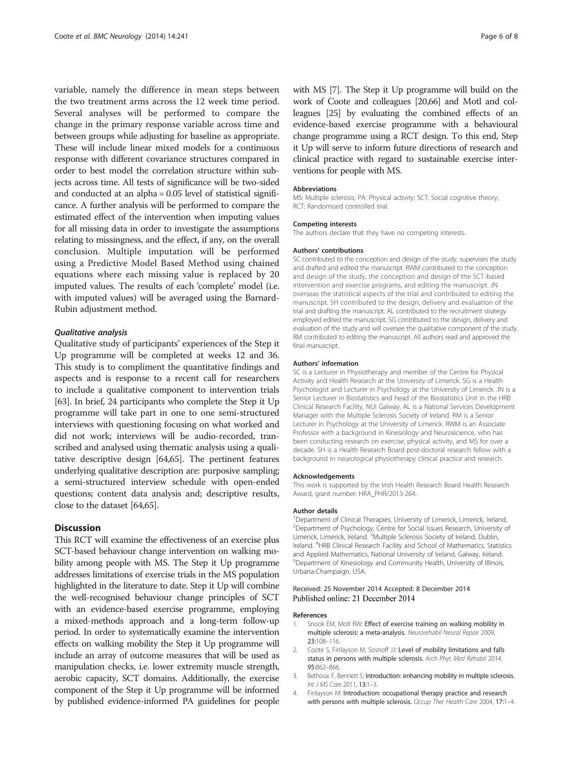<span id="page-5-0"></span>variable, namely the difference in mean steps between the two treatment arms across the 12 week time period. Several analyses will be performed to compare the change in the primary response variable across time and between groups while adjusting for baseline as appropriate. These will include linear mixed models for a continuous response with different covariance structures compared in order to best model the correlation structure within subjects across time. All tests of significance will be two-sided and conducted at an alpha = 0.05 level of statistical significance. A further analysis will be performed to compare the estimated effect of the intervention when imputing values for all missing data in order to investigate the assumptions relating to missingness, and the effect, if any, on the overall conclusion. Multiple imputation will be performed using a Predictive Model Based Method using chained equations where each missing value is replaced by 20 imputed values. The results of each 'complete' model (i.e. with imputed values) will be averaged using the Barnard-Rubin adjustment method.

#### Qualitative analysis

Qualitative study of participants' experiences of the Step it Up programme will be completed at weeks 12 and 36. This study is to compliment the quantitative findings and aspects and is response to a recent call for researchers to include a qualitative component to intervention trials [[63](#page-7-0)]. In brief, 24 participants who complete the Step it Up programme will take part in one to one semi-structured interviews with questioning focusing on what worked and did not work; interviews will be audio-recorded, transcribed and analysed using thematic analysis using a qualitative descriptive design [\[64,65](#page-7-0)]. The pertinent features underlying qualitative description are: purposive sampling; a semi-structured interview schedule with open-ended questions; content data analysis and; descriptive results, close to the dataset [[64,65\]](#page-7-0).

#### **Discussion**

This RCT will examine the effectiveness of an exercise plus SCT-based behaviour change intervention on walking mobility among people with MS. The Step it Up programme addresses limitations of exercise trials in the MS population highlighted in the literature to date. Step it Up will combine the well-recognised behaviour change principles of SCT with an evidence-based exercise programme, employing a mixed-methods approach and a long-term follow-up period. In order to systematically examine the intervention effects on walking mobility the Step it Up programme will include an array of outcome measures that will be used as manipulation checks, i.e. lower extremity muscle strength, aerobic capacity, SCT domains. Additionally, the exercise component of the Step it Up programme will be informed by published evidence-informed PA guidelines for people

with MS [[7](#page-6-0)]. The Step it Up programme will build on the work of Coote and colleagues [\[20,](#page-6-0)[66](#page-7-0)] and Motl and colleagues [\[25](#page-6-0)] by evaluating the combined effects of an evidence-based exercise programme with a behavioural change programme using a RCT design. To this end, Step it Up will serve to inform future directions of research and clinical practice with regard to sustainable exercise interventions for people with MS.

#### **Abbreviations**

MS: Multiple sclerosis; PA: Physical activity; SCT: Social cognitive theory; RCT: Randomised controlled trial.

#### Competing interests

The authors declare that they have no competing interests.

#### Authors' contributions

SC contributed to the conception and design of the study, supervises the study and drafted and edited the manuscript. RWM contributed to the conception and design of the study, the conception and design of the SCT-based intervention and exercise programs, and editing the manuscript. JN overseas the statistical aspects of the trial and contributed to editing the manuscript. SH contributed to the design, delivery and evaluation of the trial and drafting the manuscript. AL contributed to the recruitment strategy employed edited the manuscript. SG contributed to the design, delivery and evaluation of the study and will oversee the qualitative component of the study. RM contributed to editing the manuscript. All authors read and approved the final manuscript.

#### Authors' information

SC is a Lecturer in Physiotherapy and member of the Centre for Physical Activity and Health Research at the University of Limerick. SG is a Health Psychologist and Lecturer in Psychology at the University of Limerick. JN is a Senior Lecturer in Biostatistics and head of the Biostatistics Unit in the HRB Clinical Research Facility, NUI Galway. AL is a National Services Development Manager with the Multiple Sclerosis Society of Ireland. RM is a Senior Lecturer in Psychology at the University of Limerick. RWM is an Associate Professor with a background in Kinesiology and Neurosicience, who has been conducting research on exercise, physical activity, and MS for over a decade. SH is a Health Research Board post-doctoral research fellow with a background in neurological physiotherapy clinical practice and research.

#### Acknowledgements

This work is supported by the Irish Health Research Board Health Research Award, grant number: HRA\_PHR/2013-264.

#### Author details

<sup>1</sup> Department of Clinical Therapies, University of Limerick, Limerick, Ireland. <sup>2</sup>Department of Psychology, Centre for Social Issues Research, University of Limerick, Limerick, Ireland. <sup>3</sup>Multiple Sclerosis Society of Ireland, Dublin, Ireland. <sup>4</sup>HRB Clinical Research Facility and School of Mathematics, Statistics and Applied Mathematics, National University of Ireland, Galway, Ireland. 5 Department of Kinesiology and Community Health, University of Illinois, Urbana-Champaign, USA.

#### Received: 25 November 2014 Accepted: 8 December 2014 Published online: 21 December 2014

#### References

- Snook EM, Motl RW: Effect of exercise training on walking mobility in multiple sclerosis: a meta-analysis. Neurorehabil Neural Repair 2009, 23:108–116.
- 2. Coote S, Finlayson M, Sosnoff JJ: Level of mobility limitations and falls status in persons with multiple sclerosis. Arch Phys Med Rehabil 2014, 95:862–866.
- 3. Bethoux F, Bennett S: Introduction: enhancing mobility in multiple sclerosis. Int J MS Care 2011, 13:1–3.
- 4. Finlayson M: Introduction: occupational therapy practice and research with persons with multiple sclerosis. Occup Ther Health Care 2004, 17:1-4.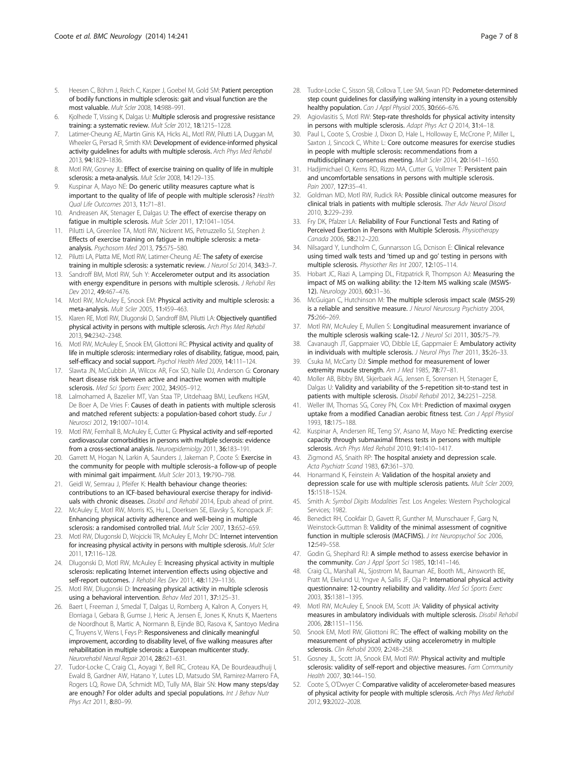- <span id="page-6-0"></span>5. Heesen C, Böhm J, Reich C, Kasper J, Goebel M, Gold SM: Patient perception of bodily functions in multiple sclerosis: gait and visual function are the most valuable. Mult Scler 2008, 14:988–991.
- 6. Kjolhede T, Vissing K, Dalgas U: Multiple sclerosis and progressive resistance training: a systematic review. Mult Scler 2012, 18:1215–1228.
- 7. Latimer-Cheung AE, Martin Ginis KA, Hicks AL, Motl RW, Pilutti LA, Duggan M, Wheeler G, Persad R, Smith KM: Development of evidence-informed physical activity guidelines for adults with multiple sclerosis. Arch Phys Med Rehabil 2013, 94:1829–1836.
- Motl RW, Gosney JL: Effect of exercise training on quality of life in multiple sclerosis: a meta-analysis. Mult Scler 2008, 14:129-135.
- Kuspinar A, Mayo NE: Do generic utility measures capture what is important to the quality of life of people with multiple sclerosis? Health Qual Life Outcomes 2013, 11:71–81.
- 10. Andreasen AK, Stenager E, Dalgas U: The effect of exercise therapy on fatigue in multiple sclerosis. Mult Scler 2011, 17:1041–1054.
- 11. Pilutti LA, Greenlee TA, Motl RW, Nickrent MS, Petruzzello SJ, Stephen J: Effects of exercise training on fatigue in multiple sclerosis: a metaanalysis. Psychosom Med 2013, 75:575–580.
- 12. Pilutti LA, Platta ME, Motl RW, Latimer-Cheung AE: The safety of exercise training in multiple sclerosis: a systematic review. J Neurol Sci 2014, 343:3-7.
- 13. Sandroff BM, Motl RW, Suh Y: Accelerometer output and its association with energy expenditure in persons with multiple sclerosis. J Rehabil Res Dev 2012, 49:467–476.
- 14. Motl RW, McAuley E, Snook EM: Physical activity and multiple sclerosis: a meta-analysis. Mult Scler 2005, 11:459–463.
- 15. Klaren RE, Motl RW, Dlugonski D, Sandroff BM, Pilutti LA: Objectively quantified physical activity in persons with multiple sclerosis. Arch Phys Med Rehabil 2013, 94:2342–2348.
- 16. Motl RW, McAuley E, Snook EM, Gliottoni RC: Physical activity and quality of life in multiple sclerosis: intermediary roles of disability, fatigue, mood, pain, self-efficacy and social support. Psychol Health Med 2009, 14:111–124.
- 17. Slawta JN, McCubbin JA, Wilcox AR, Fox SD, Nalle DJ, Anderson G: Coronary heart disease risk between active and inactive women with multiple sclerosis. Med Sci Sports Exerc 2002, 34:905-912.
- 18. Lalmohamed A, Bazelier MT, Van Staa TP, Uitdehaag BMJ, Leufkens HGM, De Boer A, De Vries F: Causes of death in patients with multiple sclerosis and matched referent subjects: a population-based cohort study. Eur J Neurosci 2012, 19:1007–1014.
- 19. Motl RW, Fernhall B, McAuley E, Cutter G: Physical activity and self-reported cardiovascular comorbidities in persons with multiple sclerosis: evidence from a cross-sectional analysis. Neuroepidemiolgy 2011, 36:183–191.
- 20. Garrett M, Hogan N, Larkin A, Saunders J, Jakeman P, Coote S: Exercise in the community for people with multiple sclerosis–a follow-up of people with minimal gait impairment. Mult Scler 2013, 19:790–798.
- 21. Geidl W, Semrau J, Pfeifer K: Health behaviour change theories: contributions to an ICF-based behavioural exercise therapy for individuals with chronic diseases. Disabil and Rehabil 2014, Epub ahead of print.
- 22. McAuley E, Motl RW, Morris KS, Hu L, Doerksen SE, Elavsky S, Konopack JF: Enhancing physical activity adherence and well-being in multiple sclerosis: a randomised controlled trial. Mult Scler 2007, 13:652–659.
- 23. Motl RW, Dlugonski D, Wojcicki TR, McAuley E, Mohr DC: Internet intervention for increasing physical activity in persons with multiple sclerosis. Mult Scler 2011, 17:116–128.
- 24. Dlugonski D, Motl RW, McAuley E: Increasing physical activity in multiple sclerosis: replicating Internet intervention effects using objective and self-report outcomes. J Rehabil Res Dev 2011, 48:1129-1136.
- 25. Motl RW, Dlugonski D: Increasing physical activity in multiple sclerosis using a behavioral intervention. Behav Med 2011, 37:125–31.
- 26. Baert I, Freeman J, Smedal T, Dalgas U, Romberg A, Kalron A, Conyers H, Elorriaga I, Gebara B, Gumse J, Heric A, Jensen E, Jones K, Knuts K, Maertens de Noordhout B, Martic A, Normann B, Eijnde BO, Rasova K, Santoyo Medina C, Truyens V, Wens I, Feys P: Responsiveness and clinically meaningful improvement, according to disability level, of five walking measures after rehabilitation in multiple sclerosis: a European multicenter study. Neurorehabil Neural Repair 2014, 28:621–631.
- 27. Tudor-Locke C, Craig CL, Aoyagi Y, Bell RC, Croteau KA, De Bourdeaudhuij I, Ewald B, Gardner AW, Hatano Y, Lutes LD, Matsudo SM, Ramirez-Marrero FA, Rogers LQ, Rowe DA, Schmidt MD, Tully MA, Blair SN: How many steps/day are enough? For older adults and special populations. Int J Behav Nutr Phys Act 2011, 8:80-99.
- 28. Tudor-Locke C, Sisson SB, Collova T, Lee SM, Swan PD: Pedometer-determined step count guidelines for classifying walking intensity in a young ostensibly healthy population. Can J Appl Physiol 2005, 30:666-676.
- 29. Agiovlasitis S, Motl RW: Step-rate thresholds for physical activity intensity in persons with multiple sclerosis. Adapt Phys Act Q 2014, 31:4–18.
- 30. Paul L, Coote S, Crosbie J, Dixon D, Hale L, Holloway E, McCrone P, Miller L, Saxton J, Sincock C, White L: Core outcome measures for exercise studies in people with multiple sclerosis: recommendations from a multidisciplinary consensus meeting. Mult Scler 2014, 20:1641–1650.
- 31. Hadjimichael O, Kerns RD, Rizzo MA, Cutter G, Vollmer T: Persistent pain and uncomfortable sensations in persons with multiple sclerosis. Pain 2007, 127:35–41.
- 32. Goldman MD, Motl RW, Rudick RA: Possible clinical outcome measures for clinical trials in patients with multiple sclerosis. Ther Adv Neurol Disord 2010, 3:229–239.
- 33. Fry DK, Pfalzer LA: Reliability of Four Functional Tests and Rating of Perceived Exertion in Persons with Multiple Sclerosis. Physiotherapy Canada 2006, 58:212–220.
- 34. Nilsagard Y, Lundholm C, Gunnarsson LG, Denison E: Clinical relevance using timed walk tests and 'timed up and go' testing in persons with multiple sclerosis. Physiother Res Int 2007, 12:105–114.
- Hobart JC, Riazi A, Lamping DL, Fitzpatrick R, Thompson AJ: Measuring the impact of MS on walking ability: the 12-Item MS walking scale (MSWS-12). Neurology 2003, 60:31–36.
- 36. McGuigan C, Hutchinson M: The multiple sclerosis impact scale (MSIS-29) is a reliable and sensitive measure. J Neurol Neurosurg Psychiatry 2004, 75:266–269.
- 37. Motl RW, McAuley E, Mullen S: Longitudinal measurement invariance of the multiple sclerosis walking scale-12. J Neurol Sci 2011, 305:75-79.
- 38. Cavanaugh JT, Gappmaier VO, Dibble LE, Gappmaier E: Ambulatory activity in individuals with multiple sclerosis. J Neurol Phys Ther 2011, 35:26-33.
- 39. Csuka M, McCarty DJ: Simple method for measurement of lower extremity muscle strength. Am J Med 1985, 78:77–81.
- 40. Moller AB, Bibby BM, Skjerbaek AG, Jensen E, Sorensen H, Stenager E, Dalgas U: Validity and variability of the 5-repetition sit-to-stand test in patients with multiple sclerosis. Disabil Rehabil 2012, 34:2251–2258.
- 41. Weller IM, Thomas SG, Corey PN, Cox MH: Prediction of maximal oxygen uptake from a modified Canadian aerobic fitness test. Can J Appl Physiol 1993, 18:175–188.
- 42. Kuspinar A, Andersen RE, Teng SY, Asano M, Mayo NE: Predicting exercise capacity through submaximal fitness tests in persons with multiple sclerosis. Arch Phys Med Rehabil 2010, 91:1410–1417.
- Zigmond AS, Snaith RP: The hospital anxiety and depression scale. Acta Psychiatr Scand 1983, 67:361–370.
- 44. Honarmand K, Feinstein A: Validation of the hospital anxiety and depression scale for use with multiple sclerosis patients. Mult Scler 2009, 15:1518–1524.
- 45. Smith A: Symbol Digits Modalities Test. Los Angeles: Western Psychological Services; 1982.
- 46. Benedict RH, Cookfair D, Gavett R, Gunther M, Munschauer F, Garg N, Weinstock-Guttman B: Validity of the minimal assessment of cognitive function in multiple sclerosis (MACFIMS). J Int Neuropsychol Soc 2006, 12:549–558.
- 47. Godin G, Shephard RJ: A simple method to assess exercise behavior in the community. Can J Appl Sport Sci 1985, 10:141-146.
- 48. Craig CL, Marshall AL, Sjostrom M, Bauman AE, Booth ML, Ainsworth BE, Pratt M, Ekelund U, Yngve A, Sallis JF, Oja P: International physical activity questionnaire: 12-country reliability and validity. Med Sci Sports Exerc 2003, 35:1381–1395.
- 49. Motl RW, McAuley E, Snook EM, Scott JA: Validity of physical activity measures in ambulatory individuals with multiple sclerosis. Disabil Rehabil 2006, 28:1151–1156.
- 50. Snook EM, Motl RW, Gliottoni RC: The effect of walking mobility on the measurement of physical activity using accelerometry in multiple sclerosis. Clin Rehabil 2009, 2:248–258.
- 51. Gosney JL, Scott JA, Snook EM, Motl RW: Physical activity and multiple sclerosis: validity of self-report and objective measures. Fam Community Health 2007, 30:144–150.
- 52. Coote S, O'Dwyer C: Comparative validity of accelerometer-based measures of physical activity for people with multiple sclerosis. Arch Phys Med Rehabil 2012, 93:2022–2028.